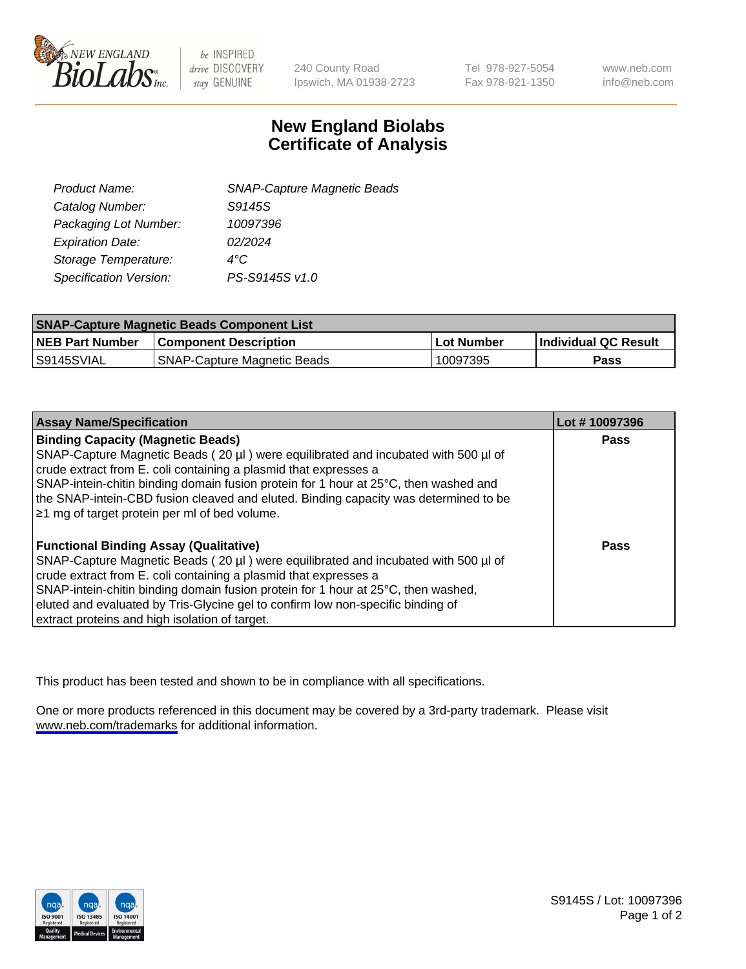

be INSPIRED drive DISCOVERY stay GENUINE

240 County Road Ipswich, MA 01938-2723 Tel 978-927-5054 Fax 978-921-1350

www.neb.com info@neb.com

## **New England Biolabs Certificate of Analysis**

| <b>SNAP-Capture Magnetic Beads</b> |
|------------------------------------|
| S9145S                             |
| 10097396                           |
| 02/2024                            |
| $4^{\circ}$ C                      |
| PS-S9145S v1.0                     |
|                                    |

| <b>SNAP-Capture Magnetic Beads Component List</b> |                                    |            |                             |  |
|---------------------------------------------------|------------------------------------|------------|-----------------------------|--|
| <b>NEB Part Number</b>                            | <b>Component Description</b>       | Lot Number | <b>Individual QC Result</b> |  |
| IS9145SVIAL                                       | <b>SNAP-Capture Magnetic Beads</b> | 10097395   | Pass                        |  |

| <b>Assay Name/Specification</b>                                                      | Lot #10097396 |
|--------------------------------------------------------------------------------------|---------------|
| <b>Binding Capacity (Magnetic Beads)</b>                                             | <b>Pass</b>   |
| SNAP-Capture Magnetic Beads (20 µl) were equilibrated and incubated with 500 µl of   |               |
| crude extract from E. coli containing a plasmid that expresses a                     |               |
| SNAP-intein-chitin binding domain fusion protein for 1 hour at 25°C, then washed and |               |
| the SNAP-intein-CBD fusion cleaved and eluted. Binding capacity was determined to be |               |
| ≥1 mg of target protein per ml of bed volume.                                        |               |
| <b>Functional Binding Assay (Qualitative)</b>                                        | Pass          |
| SNAP-Capture Magnetic Beads (20 µl) were equilibrated and incubated with 500 µl of   |               |
| crude extract from E. coli containing a plasmid that expresses a                     |               |
| SNAP-intein-chitin binding domain fusion protein for 1 hour at 25°C, then washed,    |               |
| eluted and evaluated by Tris-Glycine gel to confirm low non-specific binding of      |               |
| extract proteins and high isolation of target.                                       |               |

This product has been tested and shown to be in compliance with all specifications.

One or more products referenced in this document may be covered by a 3rd-party trademark. Please visit <www.neb.com/trademarks>for additional information.